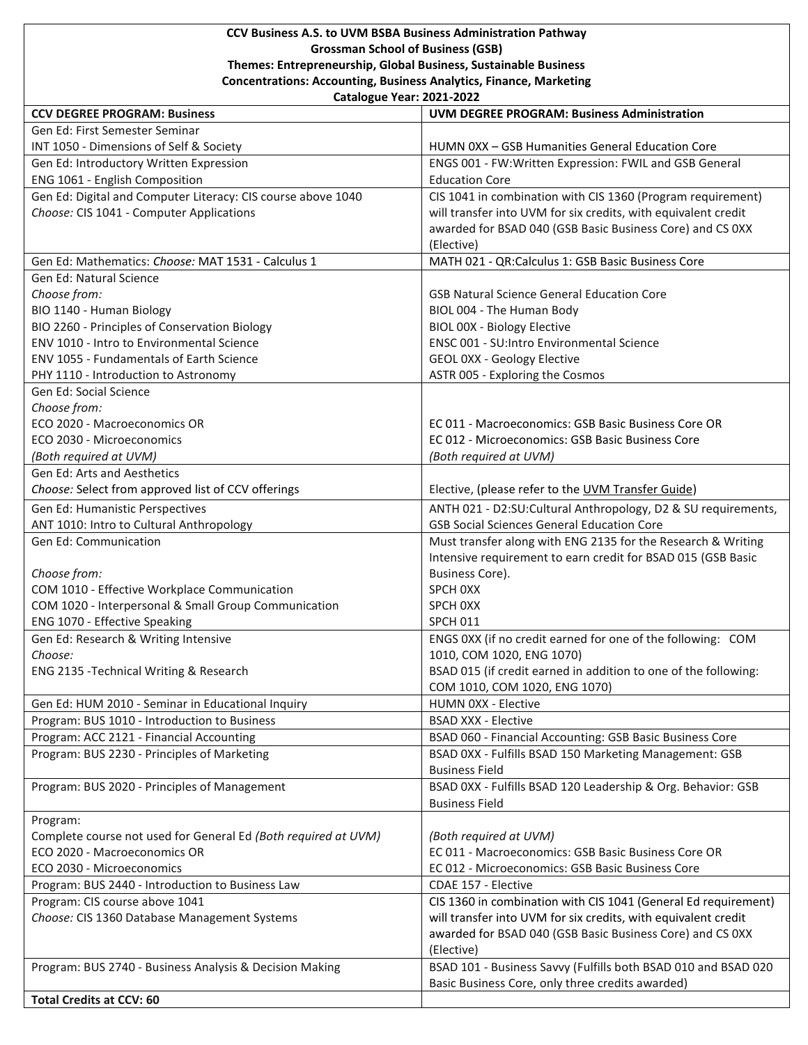## **CCV Business A.S. to UVM BSBA Business Administration Pathway Grossman School of Business (GSB) Themes: Entrepreneurship, Global Business, Sustainable Business Concentrations: Accounting, Business Analytics, Finance, Marketing**

**Catalogue Year: 2021-2022**

| <b>CCV DEGREE PROGRAM: Business</b>                                                          | <b>UVM DEGREE PROGRAM: Business Administration</b>                              |
|----------------------------------------------------------------------------------------------|---------------------------------------------------------------------------------|
| Gen Ed: First Semester Seminar                                                               |                                                                                 |
| INT 1050 - Dimensions of Self & Society                                                      | HUMN 0XX - GSB Humanities General Education Core                                |
| Gen Ed: Introductory Written Expression                                                      | ENGS 001 - FW:Written Expression: FWIL and GSB General                          |
| ENG 1061 - English Composition                                                               | <b>Education Core</b>                                                           |
| Gen Ed: Digital and Computer Literacy: CIS course above 1040                                 | CIS 1041 in combination with CIS 1360 (Program requirement)                     |
| Choose: CIS 1041 - Computer Applications                                                     | will transfer into UVM for six credits, with equivalent credit                  |
|                                                                                              | awarded for BSAD 040 (GSB Basic Business Core) and CS 0XX                       |
|                                                                                              | (Elective)                                                                      |
| Gen Ed: Mathematics: Choose: MAT 1531 - Calculus 1                                           | MATH 021 - QR:Calculus 1: GSB Basic Business Core                               |
| Gen Ed: Natural Science                                                                      |                                                                                 |
| Choose from:                                                                                 | <b>GSB Natural Science General Education Core</b>                               |
| BIO 1140 - Human Biology                                                                     | BIOL 004 - The Human Body                                                       |
| BIO 2260 - Principles of Conservation Biology                                                | BIOL 00X - Biology Elective                                                     |
| ENV 1010 - Intro to Environmental Science<br><b>ENV 1055 - Fundamentals of Earth Science</b> | ENSC 001 - SU: Intro Environmental Science                                      |
| PHY 1110 - Introduction to Astronomy                                                         | GEOL 0XX - Geology Elective                                                     |
| Gen Ed: Social Science                                                                       | ASTR 005 - Exploring the Cosmos                                                 |
| Choose from:                                                                                 |                                                                                 |
| ECO 2020 - Macroeconomics OR                                                                 | EC 011 - Macroeconomics: GSB Basic Business Core OR                             |
| ECO 2030 - Microeconomics                                                                    | EC 012 - Microeconomics: GSB Basic Business Core                                |
| (Both required at UVM)                                                                       | (Both required at UVM)                                                          |
| Gen Ed: Arts and Aesthetics                                                                  |                                                                                 |
| Choose: Select from approved list of CCV offerings                                           | Elective, (please refer to the UVM Transfer Guide)                              |
| Gen Ed: Humanistic Perspectives                                                              | ANTH 021 - D2:SU:Cultural Anthropology, D2 & SU requirements,                   |
| ANT 1010: Intro to Cultural Anthropology                                                     | <b>GSB Social Sciences General Education Core</b>                               |
| Gen Ed: Communication                                                                        | Must transfer along with ENG 2135 for the Research & Writing                    |
|                                                                                              | Intensive requirement to earn credit for BSAD 015 (GSB Basic                    |
| Choose from:                                                                                 | Business Core).                                                                 |
| COM 1010 - Effective Workplace Communication                                                 | SPCH OXX                                                                        |
| COM 1020 - Interpersonal & Small Group Communication                                         | SPCH OXX                                                                        |
| ENG 1070 - Effective Speaking                                                                | <b>SPCH 011</b>                                                                 |
| Gen Ed: Research & Writing Intensive                                                         | ENGS 0XX (if no credit earned for one of the following: COM                     |
| Choose:                                                                                      | 1010, COM 1020, ENG 1070)                                                       |
| ENG 2135 - Technical Writing & Research                                                      | BSAD 015 (if credit earned in addition to one of the following:                 |
|                                                                                              | COM 1010, COM 1020, ENG 1070)                                                   |
| Gen Ed: HUM 2010 - Seminar in Educational Inquiry                                            | HUMN 0XX - Elective                                                             |
| Program: BUS 1010 - Introduction to Business                                                 | <b>BSAD XXX - Elective</b>                                                      |
| Program: ACC 2121 - Financial Accounting                                                     | BSAD 060 - Financial Accounting: GSB Basic Business Core                        |
| Program: BUS 2230 - Principles of Marketing                                                  | BSAD 0XX - Fulfills BSAD 150 Marketing Management: GSB<br><b>Business Field</b> |
| Program: BUS 2020 - Principles of Management                                                 | BSAD 0XX - Fulfills BSAD 120 Leadership & Org. Behavior: GSB                    |
|                                                                                              | <b>Business Field</b>                                                           |
| Program:                                                                                     |                                                                                 |
| Complete course not used for General Ed (Both required at UVM)                               | (Both required at UVM)                                                          |
| ECO 2020 - Macroeconomics OR                                                                 | EC 011 - Macroeconomics: GSB Basic Business Core OR                             |
| ECO 2030 - Microeconomics                                                                    | EC 012 - Microeconomics: GSB Basic Business Core                                |
| Program: BUS 2440 - Introduction to Business Law                                             | CDAE 157 - Elective                                                             |
| Program: CIS course above 1041                                                               | CIS 1360 in combination with CIS 1041 (General Ed requirement)                  |
| Choose: CIS 1360 Database Management Systems                                                 | will transfer into UVM for six credits, with equivalent credit                  |
|                                                                                              | awarded for BSAD 040 (GSB Basic Business Core) and CS 0XX                       |
|                                                                                              | (Elective)                                                                      |
| Program: BUS 2740 - Business Analysis & Decision Making                                      | BSAD 101 - Business Savvy (Fulfills both BSAD 010 and BSAD 020                  |
|                                                                                              | Basic Business Core, only three credits awarded)                                |
| <b>Total Credits at CCV: 60</b>                                                              |                                                                                 |